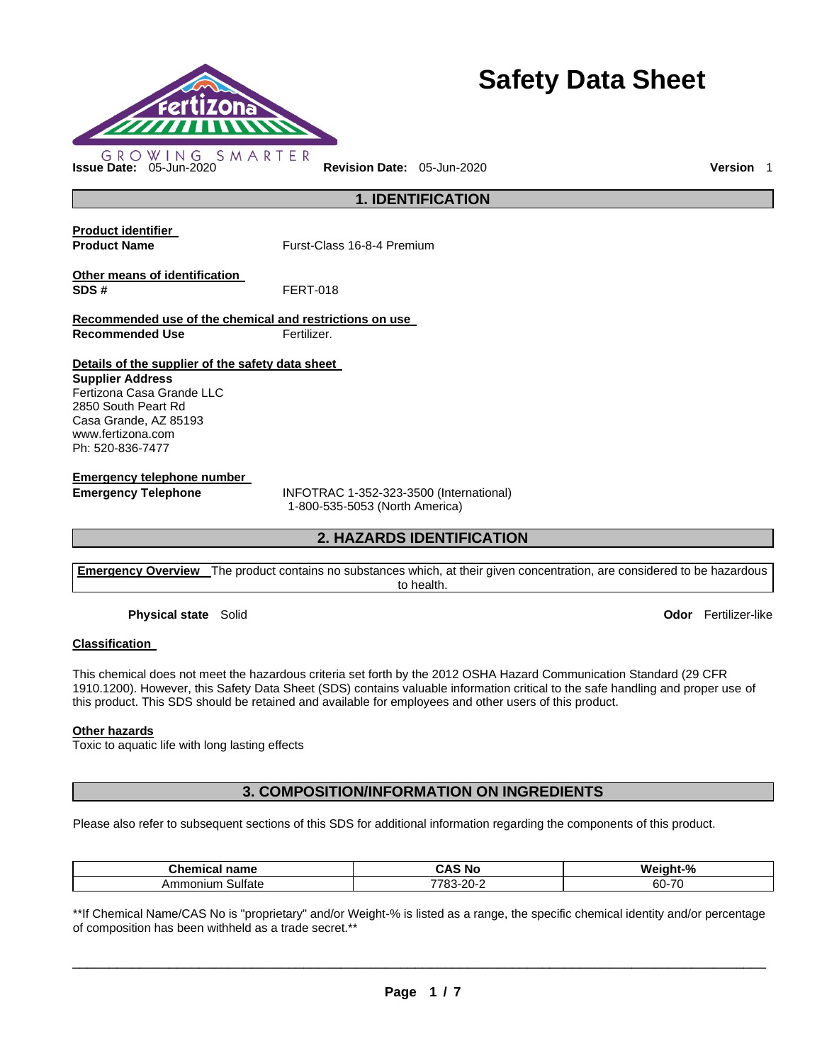

# **Safety Data Sheet**

**1. IDENTIFICATION** 

**Product identifier** 

**Product Name Furst-Class 16-8-4 Premium** 

**Other means of identification SDS #** FERT-018

**Recommended use of the chemical and restrictions on use Recommended Use Fertilizer.** 

**Details of the supplier of the safety data sheet** 

**Supplier Address** Fertizona Casa Grande LLC 2850 South Peart Rd Casa Grande, AZ 85193 www.fertizona.com Ph: 520-836-7477

**Emergency telephone number** 

**Emergency Telephone** INFOTRAC 1-352-323-3500 (International) 1-800-535-5053 (North America)

# **2. HAZARDS IDENTIFICATION**

**Emergency Overview** The product contains no substances which, at their given concentration, are considered to be hazardous to health.

**Physical state** Solid **Odor** Fertilizer-like

# **Classification**

This chemical does not meet the hazardous criteria set forth by the 2012 OSHA Hazard Communication Standard (29 CFR 1910.1200). However, this Safety Data Sheet (SDS) contains valuable information critical to the safe handling and proper use of this product. This SDS should be retained and available for employees and other users of this product.

#### **Other hazards**

Toxic to aquatic life with long lasting effects

# **3. COMPOSITION/INFORMATION ON INGREDIENTS**

Please also refer to subsequent sections of this SDS for additional information regarding the components of this product.

| <b>∴hemic</b><br>name<br>emical | i No<br>-<br>-л.<br><b>JAC</b>      | $-9o$<br>Wе<br>iaht       |
|---------------------------------|-------------------------------------|---------------------------|
| Sulfate<br>Ammonium             | co.<br>-<br>---<br>∼-<br>uu<br>20 Z | 7 <sup>c</sup><br>60<br>. |

\*\*If Chemical Name/CAS No is "proprietary" and/or Weight-% is listed as a range, the specific chemical identity and/or percentage of composition has been withheld as a trade secret.\*\*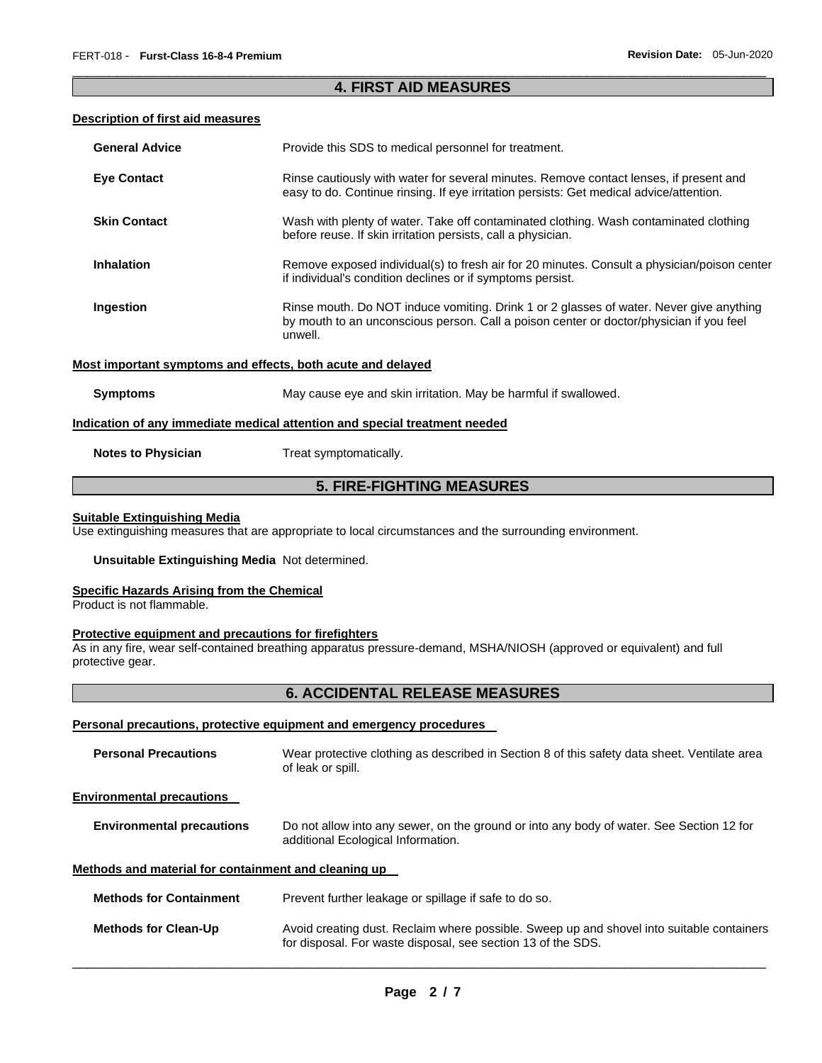# \_\_\_\_\_\_\_\_\_\_\_\_\_\_\_\_\_\_\_\_\_\_\_\_\_\_\_\_\_\_\_\_\_\_\_\_\_\_\_\_\_\_\_\_\_\_\_\_\_\_\_\_\_\_\_\_\_\_\_\_\_\_\_\_\_\_\_\_\_\_\_\_\_\_\_\_\_\_\_\_\_\_\_\_\_\_\_\_\_\_\_\_\_ **4. FIRST AID MEASURES**

## **Description of first aid measures**

| <b>General Advice</b>                                       | Provide this SDS to medical personnel for treatment.                                                                                                                                          |
|-------------------------------------------------------------|-----------------------------------------------------------------------------------------------------------------------------------------------------------------------------------------------|
| <b>Eye Contact</b>                                          | Rinse cautiously with water for several minutes. Remove contact lenses, if present and<br>easy to do. Continue rinsing. If eye irritation persists: Get medical advice/attention.             |
| <b>Skin Contact</b>                                         | Wash with plenty of water. Take off contaminated clothing. Wash contaminated clothing<br>before reuse. If skin irritation persists, call a physician.                                         |
| <b>Inhalation</b>                                           | Remove exposed individual(s) to fresh air for 20 minutes. Consult a physician/poison center<br>if individual's condition declines or if symptoms persist.                                     |
| Ingestion                                                   | Rinse mouth. Do NOT induce vomiting. Drink 1 or 2 glasses of water. Never give anything<br>by mouth to an unconscious person. Call a poison center or doctor/physician if you feel<br>unwell. |
| Most important symptoms and effects, both acute and delayed |                                                                                                                                                                                               |
| <b>Symptoms</b>                                             | May cause eye and skin irritation. May be harmful if swallowed.                                                                                                                               |
|                                                             | Indication of any immediate medical attention and special treatment needed                                                                                                                    |
| <b>Notes to Physician</b>                                   | Treat symptomatically.                                                                                                                                                                        |

# **5. FIRE-FIGHTING MEASURES**

# **Suitable Extinguishing Media**

Use extinguishing measures that are appropriate to local circumstances and the surrounding environment.

# **Unsuitable Extinguishing Media** Not determined.

#### **Specific Hazards Arising from the Chemical**

Product is not flammable.

## **Protective equipment and precautions for firefighters**

As in any fire, wear self-contained breathing apparatus pressure-demand, MSHA/NIOSH (approved or equivalent) and full protective gear.

# **6. ACCIDENTAL RELEASE MEASURES**

## **Personal precautions, protective equipment and emergency procedures**

| <b>Personal Precautions</b>                          | Wear protective clothing as described in Section 8 of this safety data sheet. Ventilate area<br>of leak or spill.                                         |  |  |
|------------------------------------------------------|-----------------------------------------------------------------------------------------------------------------------------------------------------------|--|--|
| <b>Environmental precautions</b>                     |                                                                                                                                                           |  |  |
| <b>Environmental precautions</b>                     | Do not allow into any sewer, on the ground or into any body of water. See Section 12 for<br>additional Ecological Information.                            |  |  |
| Methods and material for containment and cleaning up |                                                                                                                                                           |  |  |
| <b>Methods for Containment</b>                       | Prevent further leakage or spillage if safe to do so.                                                                                                     |  |  |
| <b>Methods for Clean-Up</b>                          | Avoid creating dust. Reclaim where possible. Sweep up and shovel into suitable containers<br>for disposal. For waste disposal, see section 13 of the SDS. |  |  |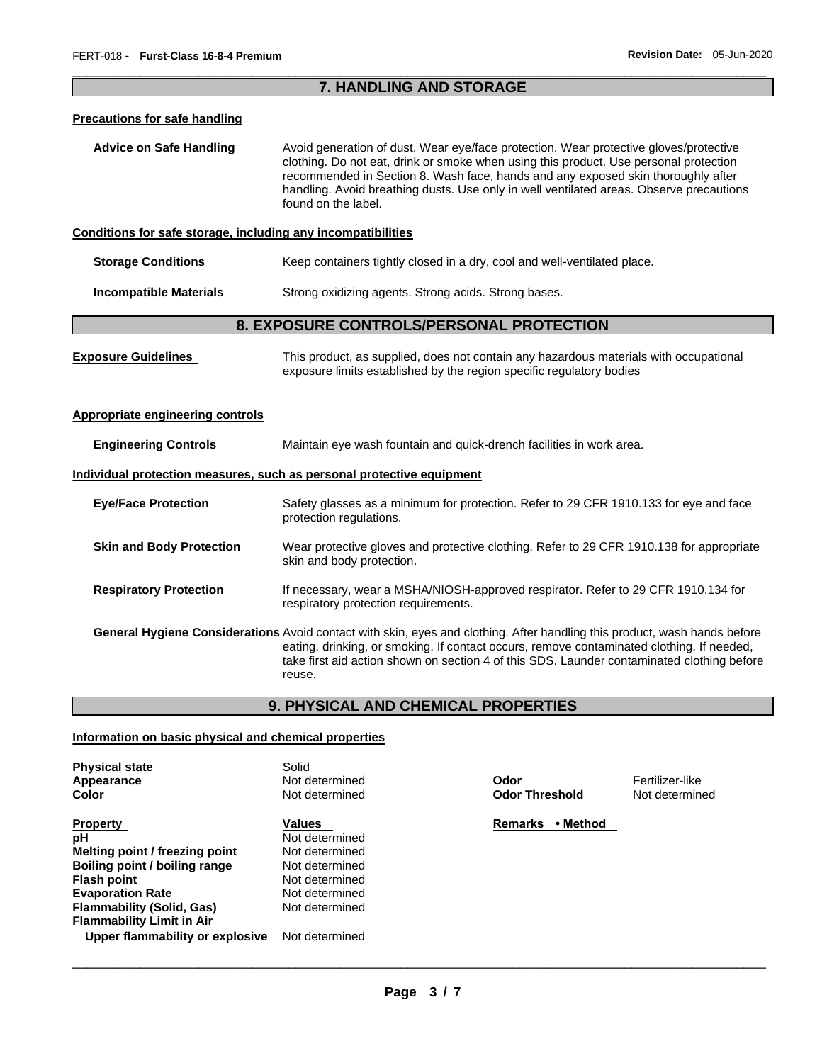# \_\_\_\_\_\_\_\_\_\_\_\_\_\_\_\_\_\_\_\_\_\_\_\_\_\_\_\_\_\_\_\_\_\_\_\_\_\_\_\_\_\_\_\_\_\_\_\_\_\_\_\_\_\_\_\_\_\_\_\_\_\_\_\_\_\_\_\_\_\_\_\_\_\_\_\_\_\_\_\_\_\_\_\_\_\_\_\_\_\_\_\_\_ **7. HANDLING AND STORAGE**

#### **Precautions for safe handling**

**Advice on Safe Handling** Avoid generation of dust. Wear eye/face protection. Wear protective gloves/protective clothing. Do not eat, drink or smoke when using this product. Use personal protection recommended in Section 8. Wash face, hands and any exposed skin thoroughly after handling. Avoid breathing dusts. Use only in well ventilated areas. Observe precautions found on the label.

## **Conditions for safe storage, including any incompatibilities**

| <b>Storage Conditions</b> | Keep containers tightly closed in a dry, cool and well-ventilated place. |  |
|---------------------------|--------------------------------------------------------------------------|--|
|                           |                                                                          |  |

**Incompatible Materials Strong oxidizing agents. Strong acids. Strong bases.** 

# **8. EXPOSURE CONTROLS/PERSONAL PROTECTION**

| <b>Exposure Guidelines</b> | This product, as supplied, does not contain any hazardous materials with occupational |
|----------------------------|---------------------------------------------------------------------------------------|
|                            | exposure limits established by the region specific regulatory bodies                  |

# **Appropriate engineering controls**

| <b>Engineering Controls</b>     | Maintain eye wash fountain and quick-drench facilities in work area.                                                                                                                                                                                                                                                                  |
|---------------------------------|---------------------------------------------------------------------------------------------------------------------------------------------------------------------------------------------------------------------------------------------------------------------------------------------------------------------------------------|
|                                 | Individual protection measures, such as personal protective equipment                                                                                                                                                                                                                                                                 |
| <b>Eve/Face Protection</b>      | Safety glasses as a minimum for protection. Refer to 29 CFR 1910.133 for eye and face<br>protection regulations.                                                                                                                                                                                                                      |
| <b>Skin and Body Protection</b> | Wear protective gloves and protective clothing. Refer to 29 CFR 1910.138 for appropriate<br>skin and body protection.                                                                                                                                                                                                                 |
| <b>Respiratory Protection</b>   | If necessary, wear a MSHA/NIOSH-approved respirator. Refer to 29 CFR 1910.134 for<br>respiratory protection requirements.                                                                                                                                                                                                             |
|                                 | <b>General Hygiene Considerations</b> Avoid contact with skin, eyes and clothing. After handling this product, wash hands before<br>eating, drinking, or smoking. If contact occurs, remove contaminated clothing. If needed,<br>take first aid action shown on section 4 of this SDS. Launder contaminated clothing before<br>reuse. |

# **9. PHYSICAL AND CHEMICAL PROPERTIES**

# **Information on basic physical and chemical properties**

| <b>Physical state</b>            | Solid          |                            |                 |
|----------------------------------|----------------|----------------------------|-----------------|
| Appearance                       | Not determined | Odor                       | Fertilizer-like |
| Color                            | Not determined | <b>Odor Threshold</b>      | Not determine   |
| <b>Property</b>                  | <b>Values</b>  | <b>Remarks</b><br>• Method |                 |
| рH                               | Not determined |                            |                 |
| Melting point / freezing point   | Not determined |                            |                 |
| Boiling point / boiling range    | Not determined |                            |                 |
| Flash point                      | Not determined |                            |                 |
| <b>Evaporation Rate</b>          | Not determined |                            |                 |
| Flammability (Solid, Gas)        | Not determined |                            |                 |
| <b>Flammability Limit in Air</b> |                |                            |                 |
| Upper flammability or explosive  | Not determined |                            |                 |

**Odor Threshold** Not determined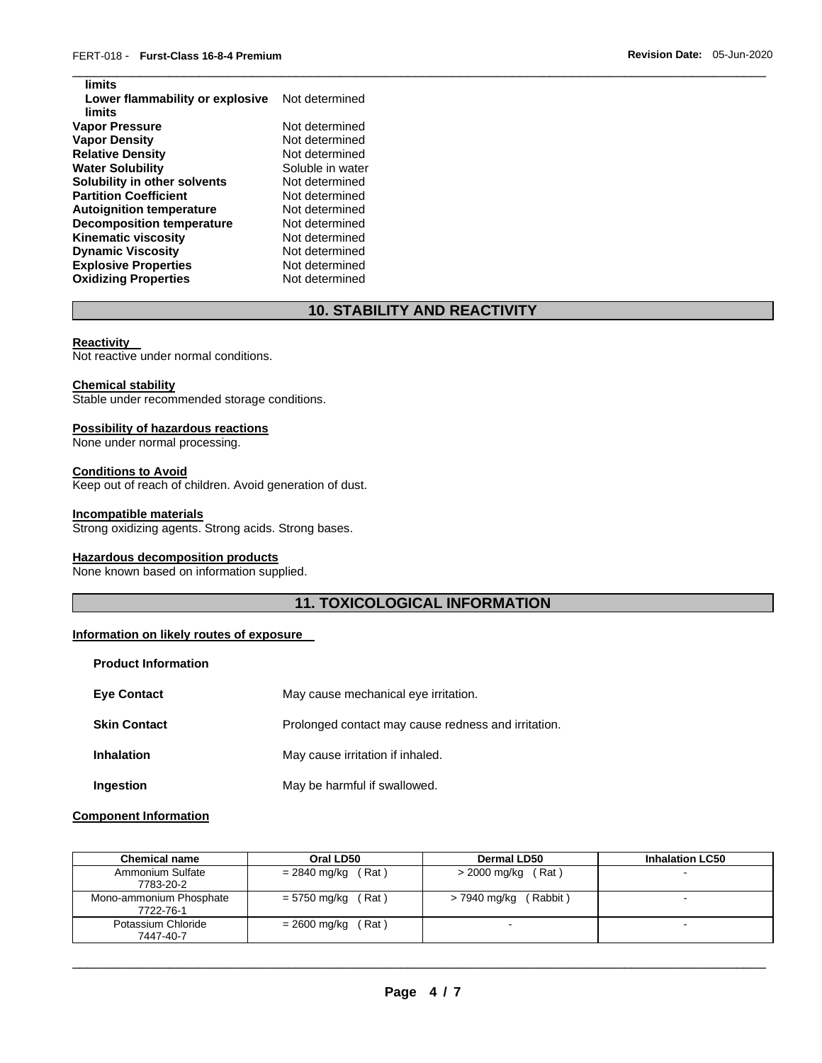| limits                           |                  |
|----------------------------------|------------------|
| Lower flammability or explosive  | Not determined   |
| limits                           |                  |
| <b>Vapor Pressure</b>            | Not determined   |
| Vapor Density                    | Not determined   |
| <b>Relative Density</b>          | Not determined   |
| <b>Water Solubility</b>          | Soluble in water |
| Solubility in other solvents     | Not determined   |
| <b>Partition Coefficient</b>     | Not determined   |
| <b>Autoignition temperature</b>  | Not determined   |
| <b>Decomposition temperature</b> | Not determined   |
| <b>Kinematic viscosity</b>       | Not determined   |
| <b>Dynamic Viscosity</b>         | Not determined   |
| <b>Explosive Properties</b>      | Not determined   |
| <b>Oxidizing Properties</b>      | Not determined   |

# **10. STABILITY AND REACTIVITY**

\_\_\_\_\_\_\_\_\_\_\_\_\_\_\_\_\_\_\_\_\_\_\_\_\_\_\_\_\_\_\_\_\_\_\_\_\_\_\_\_\_\_\_\_\_\_\_\_\_\_\_\_\_\_\_\_\_\_\_\_\_\_\_\_\_\_\_\_\_\_\_\_\_\_\_\_\_\_\_\_\_\_\_\_\_\_\_\_\_\_\_\_\_

#### **Reactivity**

**limits** 

Not reactive under normal conditions.

#### **Chemical stability**

Stable under recommended storage conditions.

# **Possibility of hazardous reactions**

None under normal processing.

# **Conditions to Avoid**

Keep out of reach of children. Avoid generation of dust.

#### **Incompatible materials**

Strong oxidizing agents. Strong acids. Strong bases.

# **Hazardous decomposition products**

None known based on information supplied.

# **11. TOXICOLOGICAL INFORMATION**

# **Information on likely routes of exposure**

| <b>Product Information</b> |                                                     |
|----------------------------|-----------------------------------------------------|
| <b>Eve Contact</b>         | May cause mechanical eye irritation.                |
| <b>Skin Contact</b>        | Prolonged contact may cause redness and irritation. |
| <b>Inhalation</b>          | May cause irritation if inhaled.                    |
| Ingestion                  | May be harmful if swallowed.                        |

# **Component Information**

| <b>Chemical name</b>                 | Oral LD50             | <b>Dermal LD50</b>       | <b>Inhalation LC50</b> |
|--------------------------------------|-----------------------|--------------------------|------------------------|
| Ammonium Sulfate<br>7783-20-2        | = 2840 mg/kg<br>(Rat) | $>$ 2000 mg/kg (Rat)     | $\sim$                 |
| Mono-ammonium Phosphate<br>7722-76-1 | (Rat)<br>= 5750 mg/kg | (Rabbit)<br>> 7940 mg/kg |                        |
| Potassium Chloride<br>7447-40-7      | Rat)<br>= 2600 mg/kg  |                          | -                      |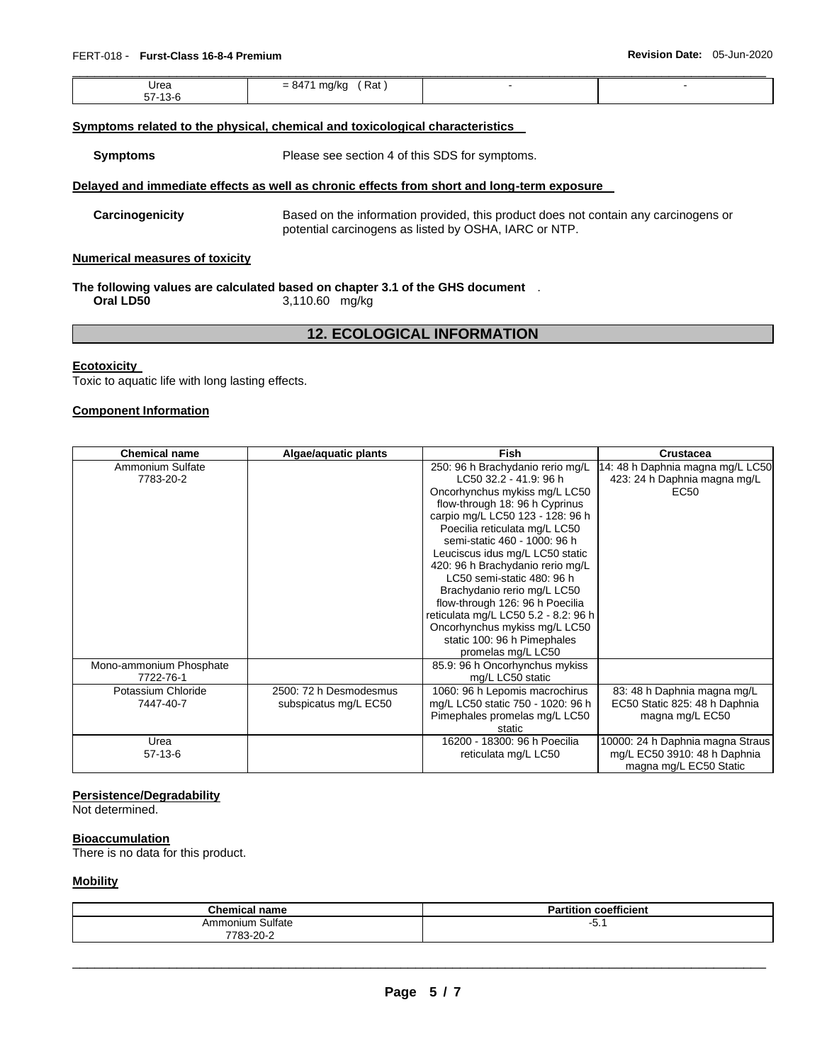| Urea              | , Rat<br>$= 847'$ |  |
|-------------------|-------------------|--|
| E749C<br>57 T.S-C |                   |  |

## **Symptoms related to the physical, chemical and toxicological characteristics**

**Symptoms** Please see section 4 of this SDS for symptoms.

#### **Delayed and immediate effects as well as chronic effects from short and long-term exposure**

**Carcinogenicity** Based on the information provided, this product does not contain any carcinogens or potential carcinogens as listed by OSHA, IARC or NTP.

#### **Numerical measures of toxicity**

# **The following values are calculated based on chapter 3.1 of the GHS document** .

**Oral LD50** 3,110.60 mg/kg

# **12. ECOLOGICAL INFORMATION**

#### **Ecotoxicity**

Toxic to aquatic life with long lasting effects.

#### **Component Information**

| <b>Chemical name</b>    | Algae/aquatic plants   | <b>Fish</b>                          | Crustacea                        |
|-------------------------|------------------------|--------------------------------------|----------------------------------|
| Ammonium Sulfate        |                        | 250: 96 h Brachydanio rerio mg/L     | 14: 48 h Daphnia magna mg/L LC50 |
| 7783-20-2               |                        | LC50 32.2 - 41.9: 96 h               | 423: 24 h Daphnia magna mg/L     |
|                         |                        | Oncorhynchus mykiss mg/L LC50        | EC50                             |
|                         |                        | flow-through 18: 96 h Cyprinus       |                                  |
|                         |                        | carpio mg/L LC50 123 - 128: 96 h     |                                  |
|                         |                        | Poecilia reticulata mg/L LC50        |                                  |
|                         |                        | semi-static 460 - 1000: 96 h         |                                  |
|                         |                        | Leuciscus idus mg/L LC50 static      |                                  |
|                         |                        | 420: 96 h Brachydanio rerio mg/L     |                                  |
|                         |                        | LC50 semi-static 480: 96 h           |                                  |
|                         |                        | Brachydanio rerio mg/L LC50          |                                  |
|                         |                        | flow-through 126: 96 h Poecilia      |                                  |
|                         |                        | reticulata mg/L LC50 5.2 - 8.2: 96 h |                                  |
|                         |                        | Oncorhynchus mykiss mg/L LC50        |                                  |
|                         |                        | static 100: 96 h Pimephales          |                                  |
|                         |                        | promelas mg/L LC50                   |                                  |
| Mono-ammonium Phosphate |                        | 85.9: 96 h Oncorhynchus mykiss       |                                  |
| 7722-76-1               |                        | mg/L LC50 static                     |                                  |
| Potassium Chloride      | 2500: 72 h Desmodesmus | 1060: 96 h Lepomis macrochirus       | 83: 48 h Daphnia magna mg/L      |
| 7447-40-7               | subspicatus mg/L EC50  | mg/L LC50 static 750 - 1020: 96 h    | EC50 Static 825: 48 h Daphnia    |
|                         |                        | Pimephales promelas mg/L LC50        | magna mg/L EC50                  |
|                         |                        | static                               |                                  |
| Urea                    |                        | 16200 - 18300: 96 h Poecilia         | 10000: 24 h Daphnia magna Straus |
| $57-13-6$               |                        | reticulata mg/L LC50                 | mg/L EC50 3910: 48 h Daphnia     |
|                         |                        |                                      | magna mg/L EC50 Static           |

## **Persistence/Degradability**

Not determined.

#### **Bioaccumulation**

There is no data for this product.

#### **Mobility**

| <b>Chemical name</b>          | $\overline{\phantom{a}}$<br>$\cdot$<br>coefficient<br>rtitior |
|-------------------------------|---------------------------------------------------------------|
| Ammonium Sulfate<br>7783-20-2 | ו. ט-                                                         |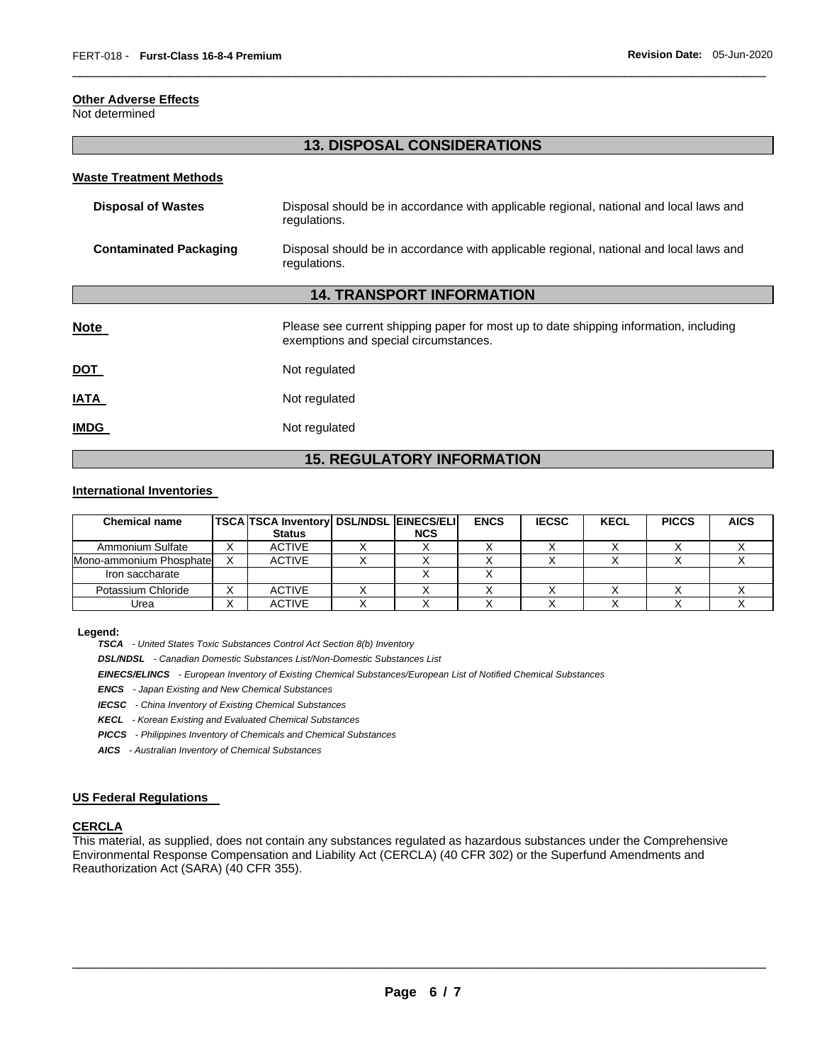## **Other Adverse Effects**

Not determined

# **13. DISPOSAL CONSIDERATIONS**

\_\_\_\_\_\_\_\_\_\_\_\_\_\_\_\_\_\_\_\_\_\_\_\_\_\_\_\_\_\_\_\_\_\_\_\_\_\_\_\_\_\_\_\_\_\_\_\_\_\_\_\_\_\_\_\_\_\_\_\_\_\_\_\_\_\_\_\_\_\_\_\_\_\_\_\_\_\_\_\_\_\_\_\_\_\_\_\_\_\_\_\_\_

#### **Waste Treatment Methods**

| <b>Disposal of Wastes</b>         | Disposal should be in accordance with applicable regional, national and local laws and<br>regulations.                         |  |  |  |  |
|-----------------------------------|--------------------------------------------------------------------------------------------------------------------------------|--|--|--|--|
| <b>Contaminated Packaging</b>     | Disposal should be in accordance with applicable regional, national and local laws and<br>regulations.                         |  |  |  |  |
| <b>14. TRANSPORT INFORMATION</b>  |                                                                                                                                |  |  |  |  |
| <b>Note</b>                       | Please see current shipping paper for most up to date shipping information, including<br>exemptions and special circumstances. |  |  |  |  |
| <b>DOT</b>                        | Not regulated                                                                                                                  |  |  |  |  |
| <b>IATA</b>                       | Not regulated                                                                                                                  |  |  |  |  |
| <b>IMDG</b>                       | Not regulated                                                                                                                  |  |  |  |  |
| <b>15. REGULATORY INFORMATION</b> |                                                                                                                                |  |  |  |  |

## **International Inventories**

| <b>Chemical name</b>     |   | <b>TSCA TSCA Inventory DSL/NDSL EINECS/ELI</b> |            | <b>ENCS</b> | <b>IECSC</b> | <b>KECL</b> | <b>PICCS</b> | <b>AICS</b> |
|--------------------------|---|------------------------------------------------|------------|-------------|--------------|-------------|--------------|-------------|
|                          |   | <b>Status</b>                                  | <b>NCS</b> |             |              |             |              |             |
| Ammonium Sulfate         |   | <b>ACTIVE</b>                                  |            |             |              |             |              |             |
| Mono-ammonium Phosphatel |   | <b>ACTIVE</b>                                  |            |             |              |             |              |             |
| Iron saccharate          |   |                                                |            |             |              |             |              |             |
| Potassium Chloride       |   | <b>ACTIVE</b>                                  |            |             |              |             |              |             |
| Urea                     | ⌒ | <b>ACTIVE</b>                                  |            |             |              |             |              |             |

#### **Legend:**

*TSCA - United States Toxic Substances Control Act Section 8(b) Inventory* 

*DSL/NDSL - Canadian Domestic Substances List/Non-Domestic Substances List* 

*EINECS/ELINCS - European Inventory of Existing Chemical Substances/European List of Notified Chemical Substances* 

*ENCS - Japan Existing and New Chemical Substances* 

*IECSC - China Inventory of Existing Chemical Substances* 

*KECL - Korean Existing and Evaluated Chemical Substances* 

*PICCS - Philippines Inventory of Chemicals and Chemical Substances* 

*AICS - Australian Inventory of Chemical Substances* 

# **US Federal Regulations**

## **CERCLA**

This material, as supplied, does not contain any substances regulated as hazardous substances under the Comprehensive Environmental Response Compensation and Liability Act (CERCLA) (40 CFR 302) or the Superfund Amendments and Reauthorization Act (SARA) (40 CFR 355).